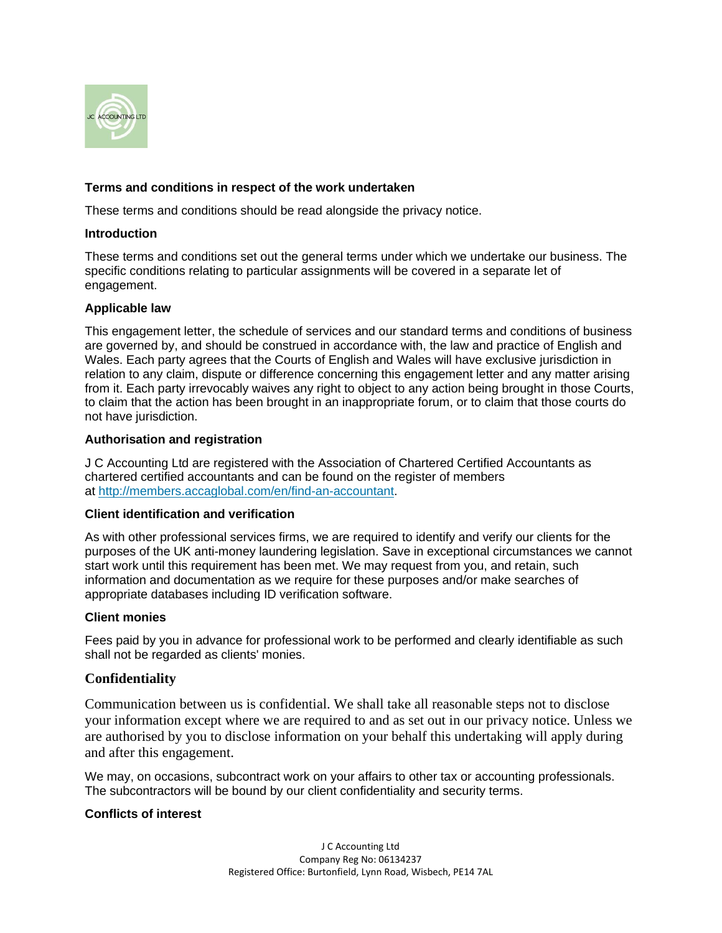

# **Terms and conditions in respect of the work undertaken**

These terms and conditions should be read alongside the privacy notice.

## **Introduction**

These terms and conditions set out the general terms under which we undertake our business. The specific conditions relating to particular assignments will be covered in a separate let of engagement.

# **Applicable law**

This engagement letter, the schedule of services and our standard terms and conditions of business are governed by, and should be construed in accordance with, the law and practice of English and Wales. Each party agrees that the Courts of English and Wales will have exclusive jurisdiction in relation to any claim, dispute or difference concerning this engagement letter and any matter arising from it. Each party irrevocably waives any right to object to any action being brought in those Courts, to claim that the action has been brought in an inappropriate forum, or to claim that those courts do not have jurisdiction.

# **Authorisation and registration**

J C Accounting Ltd are registered with the Association of Chartered Certified Accountants as chartered certified accountants and can be found on the register of members at [http://members.accaglobal.com/en/find-an-accountant.](http://members.accaglobal.com/en/find-an-accountant)

### **Client identification and verification**

As with other professional services firms, we are required to identify and verify our clients for the purposes of the UK anti-money laundering legislation. Save in exceptional circumstances we cannot start work until this requirement has been met. We may request from you, and retain, such information and documentation as we require for these purposes and/or make searches of appropriate databases including ID verification software.

# **Client monies**

Fees paid by you in advance for professional work to be performed and clearly identifiable as such shall not be regarded as clients' monies.

# **Confidentiality**

Communication between us is confidential. We shall take all reasonable steps not to disclose your information except where we are required to and as set out in our privacy notice. Unless we are authorised by you to disclose information on your behalf this undertaking will apply during and after this engagement.

We may, on occasions, subcontract work on your affairs to other tax or accounting professionals. The subcontractors will be bound by our client confidentiality and security terms.

# **Conflicts of interest**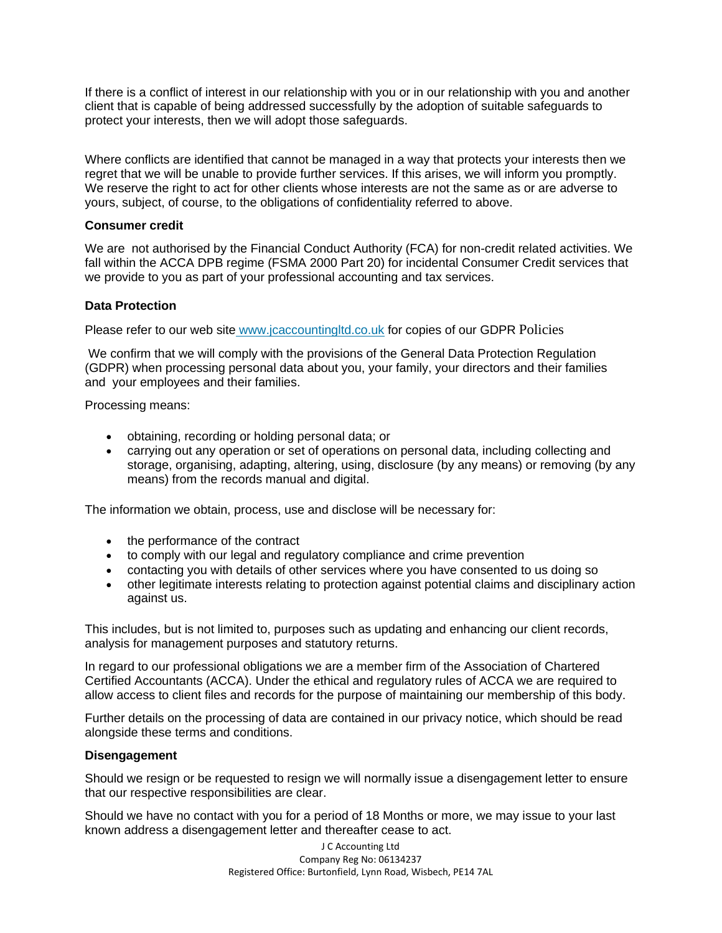If there is a conflict of interest in our relationship with you or in our relationship with you and another client that is capable of being addressed successfully by the adoption of suitable safeguards to protect your interests, then we will adopt those safeguards.

Where conflicts are identified that cannot be managed in a way that protects your interests then we regret that we will be unable to provide further services. If this arises, we will inform you promptly. We reserve the right to act for other clients whose interests are not the same as or are adverse to yours, subject, of course, to the obligations of confidentiality referred to above.

## **Consumer credit**

We are not authorised by the Financial Conduct Authority (FCA) for non-credit related activities. We fall within the ACCA DPB regime (FSMA 2000 Part 20) for incidental Consumer Credit services that we provide to you as part of your professional accounting and tax services.

# **Data Protection**

Please refer to our web site [www.jcaccountingltd.co.uk](http://jcaccountingltd.co.uk/) for copies of our GDPR Policies

We confirm that we will comply with the provisions of the General Data Protection Regulation (GDPR) when processing personal data about you, your family, your directors and their families and your employees and their families.

Processing means:

- obtaining, recording or holding personal data; or
- carrying out any operation or set of operations on personal data, including collecting and storage, organising, adapting, altering, using, disclosure (by any means) or removing (by any means) from the records manual and digital.

The information we obtain, process, use and disclose will be necessary for:

- the performance of the contract
- to comply with our legal and regulatory compliance and crime prevention
- contacting you with details of other services where you have consented to us doing so
- other legitimate interests relating to protection against potential claims and disciplinary action against us.

This includes, but is not limited to, purposes such as updating and enhancing our client records, analysis for management purposes and statutory returns.

In regard to our professional obligations we are a member firm of the Association of Chartered Certified Accountants (ACCA). Under the ethical and regulatory rules of ACCA we are required to allow access to client files and records for the purpose of maintaining our membership of this body.

Further details on the processing of data are contained in our privacy notice, which should be read alongside these terms and conditions.

# **Disengagement**

Should we resign or be requested to resign we will normally issue a disengagement letter to ensure that our respective responsibilities are clear.

Should we have no contact with you for a period of 18 Months or more, we may issue to your last known address a disengagement letter and thereafter cease to act.

> J C Accounting Ltd Company Reg No: 06134237 Registered Office: Burtonfield, Lynn Road, Wisbech, PE14 7AL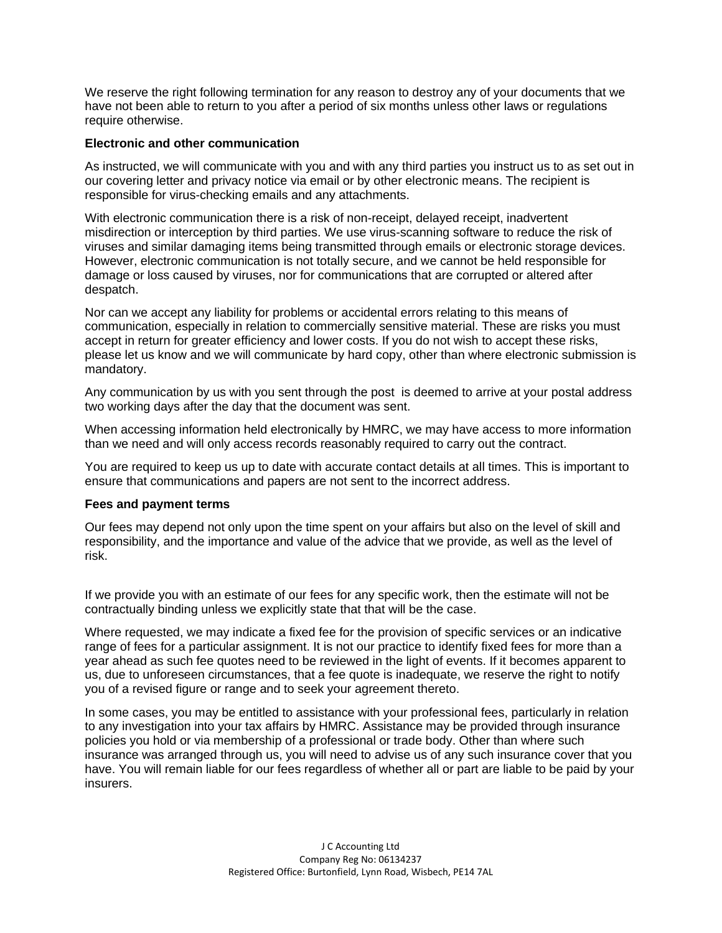We reserve the right following termination for any reason to destroy any of your documents that we have not been able to return to you after a period of six months unless other laws or regulations require otherwise.

# **Electronic and other communication**

As instructed, we will communicate with you and with any third parties you instruct us to as set out in our covering letter and privacy notice via email or by other electronic means. The recipient is responsible for virus-checking emails and any attachments.

With electronic communication there is a risk of non-receipt, delayed receipt, inadvertent misdirection or interception by third parties. We use virus-scanning software to reduce the risk of viruses and similar damaging items being transmitted through emails or electronic storage devices. However, electronic communication is not totally secure, and we cannot be held responsible for damage or loss caused by viruses, nor for communications that are corrupted or altered after despatch.

Nor can we accept any liability for problems or accidental errors relating to this means of communication, especially in relation to commercially sensitive material. These are risks you must accept in return for greater efficiency and lower costs. If you do not wish to accept these risks, please let us know and we will communicate by hard copy, other than where electronic submission is mandatory.

Any communication by us with you sent through the post is deemed to arrive at your postal address two working days after the day that the document was sent.

When accessing information held electronically by HMRC, we may have access to more information than we need and will only access records reasonably required to carry out the contract.

You are required to keep us up to date with accurate contact details at all times. This is important to ensure that communications and papers are not sent to the incorrect address.

### **Fees and payment terms**

Our fees may depend not only upon the time spent on your affairs but also on the level of skill and responsibility, and the importance and value of the advice that we provide, as well as the level of risk.

If we provide you with an estimate of our fees for any specific work, then the estimate will not be contractually binding unless we explicitly state that that will be the case.

Where requested, we may indicate a fixed fee for the provision of specific services or an indicative range of fees for a particular assignment. It is not our practice to identify fixed fees for more than a year ahead as such fee quotes need to be reviewed in the light of events. If it becomes apparent to us, due to unforeseen circumstances, that a fee quote is inadequate, we reserve the right to notify you of a revised figure or range and to seek your agreement thereto.

In some cases, you may be entitled to assistance with your professional fees, particularly in relation to any investigation into your tax affairs by HMRC. Assistance may be provided through insurance policies you hold or via membership of a professional or trade body. Other than where such insurance was arranged through us, you will need to advise us of any such insurance cover that you have. You will remain liable for our fees regardless of whether all or part are liable to be paid by your insurers.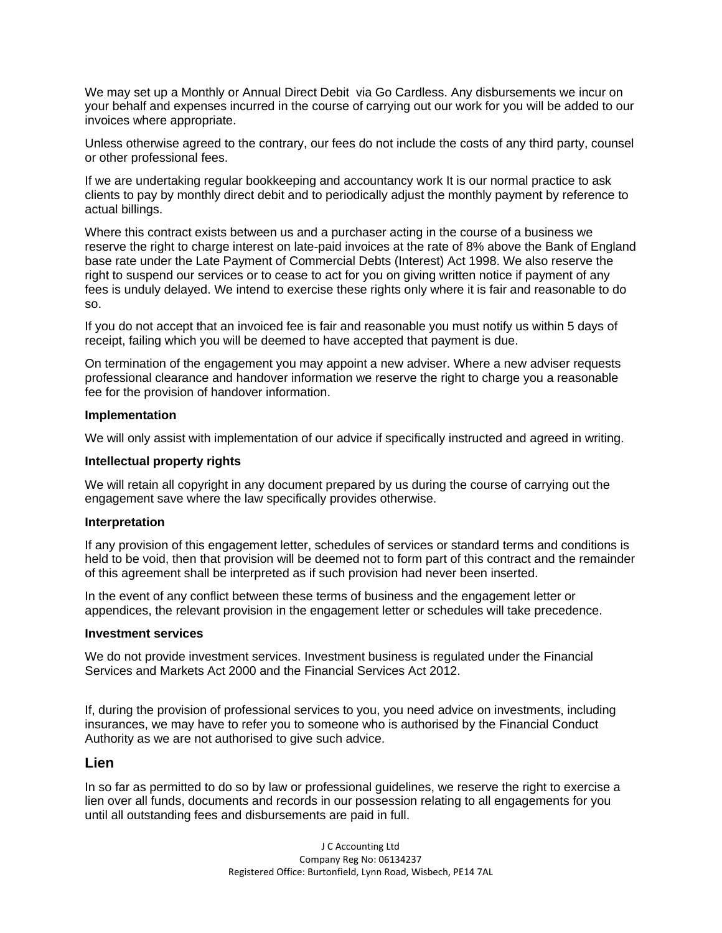We may set up a Monthly or Annual Direct Debit via Go Cardless. Any disbursements we incur on your behalf and expenses incurred in the course of carrying out our work for you will be added to our invoices where appropriate.

Unless otherwise agreed to the contrary, our fees do not include the costs of any third party, counsel or other professional fees.

If we are undertaking regular bookkeeping and accountancy work It is our normal practice to ask clients to pay by monthly direct debit and to periodically adjust the monthly payment by reference to actual billings.

Where this contract exists between us and a purchaser acting in the course of a business we reserve the right to charge interest on late-paid invoices at the rate of 8% above the Bank of England base rate under the Late Payment of Commercial Debts (Interest) Act 1998. We also reserve the right to suspend our services or to cease to act for you on giving written notice if payment of any fees is unduly delayed. We intend to exercise these rights only where it is fair and reasonable to do so.

If you do not accept that an invoiced fee is fair and reasonable you must notify us within 5 days of receipt, failing which you will be deemed to have accepted that payment is due.

On termination of the engagement you may appoint a new adviser. Where a new adviser requests professional clearance and handover information we reserve the right to charge you a reasonable fee for the provision of handover information.

## **Implementation**

We will only assist with implementation of our advice if specifically instructed and agreed in writing.

## **Intellectual property rights**

We will retain all copyright in any document prepared by us during the course of carrying out the engagement save where the law specifically provides otherwise.

### **Interpretation**

If any provision of this engagement letter, schedules of services or standard terms and conditions is held to be void, then that provision will be deemed not to form part of this contract and the remainder of this agreement shall be interpreted as if such provision had never been inserted.

In the event of any conflict between these terms of business and the engagement letter or appendices, the relevant provision in the engagement letter or schedules will take precedence.

### **Investment services**

We do not provide investment services. Investment business is regulated under the Financial Services and Markets Act 2000 and the Financial Services Act 2012.

If, during the provision of professional services to you, you need advice on investments, including insurances, we may have to refer you to someone who is authorised by the Financial Conduct Authority as we are not authorised to give such advice.

# **Lien**

In so far as permitted to do so by law or professional guidelines, we reserve the right to exercise a lien over all funds, documents and records in our possession relating to all engagements for you until all outstanding fees and disbursements are paid in full.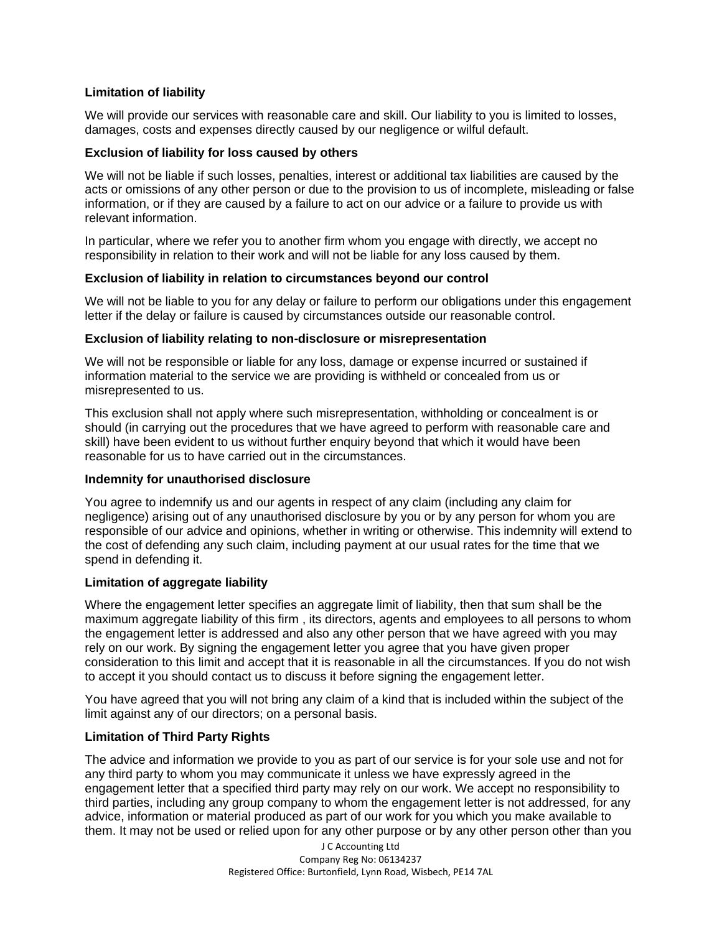# **Limitation of liability**

We will provide our services with reasonable care and skill. Our liability to you is limited to losses, damages, costs and expenses directly caused by our negligence or wilful default.

# **Exclusion of liability for loss caused by others**

We will not be liable if such losses, penalties, interest or additional tax liabilities are caused by the acts or omissions of any other person or due to the provision to us of incomplete, misleading or false information, or if they are caused by a failure to act on our advice or a failure to provide us with relevant information.

In particular, where we refer you to another firm whom you engage with directly, we accept no responsibility in relation to their work and will not be liable for any loss caused by them.

# **Exclusion of liability in relation to circumstances beyond our control**

We will not be liable to you for any delay or failure to perform our obligations under this engagement letter if the delay or failure is caused by circumstances outside our reasonable control.

# **Exclusion of liability relating to non-disclosure or misrepresentation**

We will not be responsible or liable for any loss, damage or expense incurred or sustained if information material to the service we are providing is withheld or concealed from us or misrepresented to us.

This exclusion shall not apply where such misrepresentation, withholding or concealment is or should (in carrying out the procedures that we have agreed to perform with reasonable care and skill) have been evident to us without further enquiry beyond that which it would have been reasonable for us to have carried out in the circumstances.

# **Indemnity for unauthorised disclosure**

You agree to indemnify us and our agents in respect of any claim (including any claim for negligence) arising out of any unauthorised disclosure by you or by any person for whom you are responsible of our advice and opinions, whether in writing or otherwise. This indemnity will extend to the cost of defending any such claim, including payment at our usual rates for the time that we spend in defending it.

# **Limitation of aggregate liability**

Where the engagement letter specifies an aggregate limit of liability, then that sum shall be the maximum aggregate liability of this firm , its directors, agents and employees to all persons to whom the engagement letter is addressed and also any other person that we have agreed with you may rely on our work. By signing the engagement letter you agree that you have given proper consideration to this limit and accept that it is reasonable in all the circumstances. If you do not wish to accept it you should contact us to discuss it before signing the engagement letter.

You have agreed that you will not bring any claim of a kind that is included within the subject of the limit against any of our directors; on a personal basis.

# **Limitation of Third Party Rights**

The advice and information we provide to you as part of our service is for your sole use and not for any third party to whom you may communicate it unless we have expressly agreed in the engagement letter that a specified third party may rely on our work. We accept no responsibility to third parties, including any group company to whom the engagement letter is not addressed, for any advice, information or material produced as part of our work for you which you make available to them. It may not be used or relied upon for any other purpose or by any other person other than you

> J C Accounting Ltd Company Reg No: 06134237 Registered Office: Burtonfield, Lynn Road, Wisbech, PE14 7AL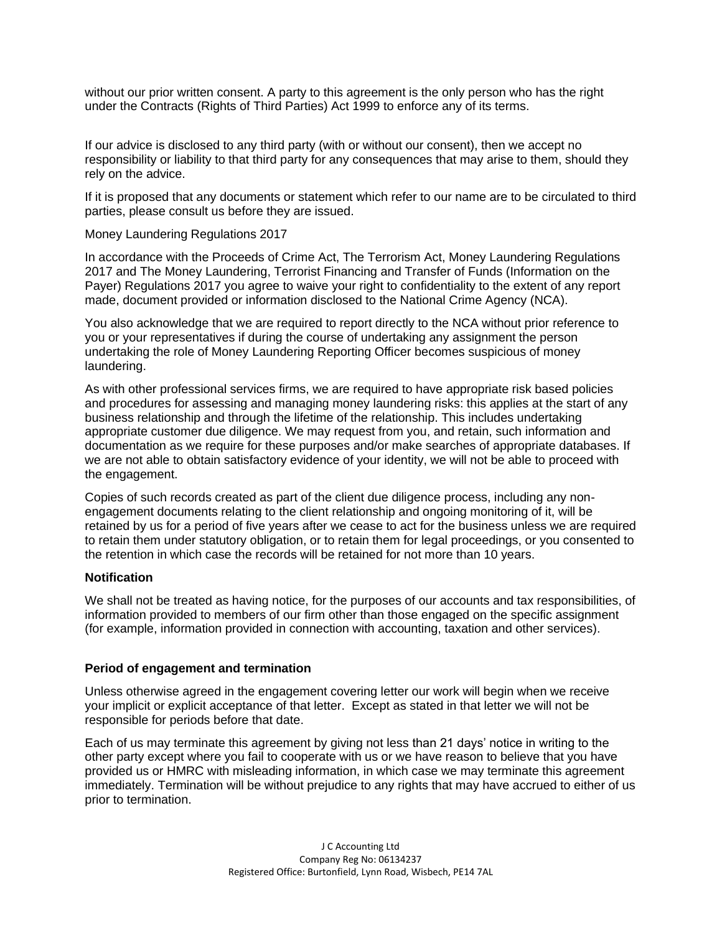without our prior written consent. A party to this agreement is the only person who has the right under the Contracts (Rights of Third Parties) Act 1999 to enforce any of its terms.

If our advice is disclosed to any third party (with or without our consent), then we accept no responsibility or liability to that third party for any consequences that may arise to them, should they rely on the advice.

If it is proposed that any documents or statement which refer to our name are to be circulated to third parties, please consult us before they are issued.

Money Laundering Regulations 2017

In accordance with the Proceeds of Crime Act, The Terrorism Act, Money Laundering Regulations 2017 and The Money Laundering, Terrorist Financing and Transfer of Funds (Information on the Payer) Regulations 2017 you agree to waive your right to confidentiality to the extent of any report made, document provided or information disclosed to the National Crime Agency (NCA).

You also acknowledge that we are required to report directly to the NCA without prior reference to you or your representatives if during the course of undertaking any assignment the person undertaking the role of Money Laundering Reporting Officer becomes suspicious of money laundering.

As with other professional services firms, we are required to have appropriate risk based policies and procedures for assessing and managing money laundering risks: this applies at the start of any business relationship and through the lifetime of the relationship. This includes undertaking appropriate customer due diligence. We may request from you, and retain, such information and documentation as we require for these purposes and/or make searches of appropriate databases. If we are not able to obtain satisfactory evidence of your identity, we will not be able to proceed with the engagement.

Copies of such records created as part of the client due diligence process, including any nonengagement documents relating to the client relationship and ongoing monitoring of it, will be retained by us for a period of five years after we cease to act for the business unless we are required to retain them under statutory obligation, or to retain them for legal proceedings, or you consented to the retention in which case the records will be retained for not more than 10 years.

# **Notification**

We shall not be treated as having notice, for the purposes of our accounts and tax responsibilities, of information provided to members of our firm other than those engaged on the specific assignment (for example, information provided in connection with accounting, taxation and other services).

# **Period of engagement and termination**

Unless otherwise agreed in the engagement covering letter our work will begin when we receive your implicit or explicit acceptance of that letter. Except as stated in that letter we will not be responsible for periods before that date.

Each of us may terminate this agreement by giving not less than 21 days' notice in writing to the other party except where you fail to cooperate with us or we have reason to believe that you have provided us or HMRC with misleading information, in which case we may terminate this agreement immediately. Termination will be without prejudice to any rights that may have accrued to either of us prior to termination.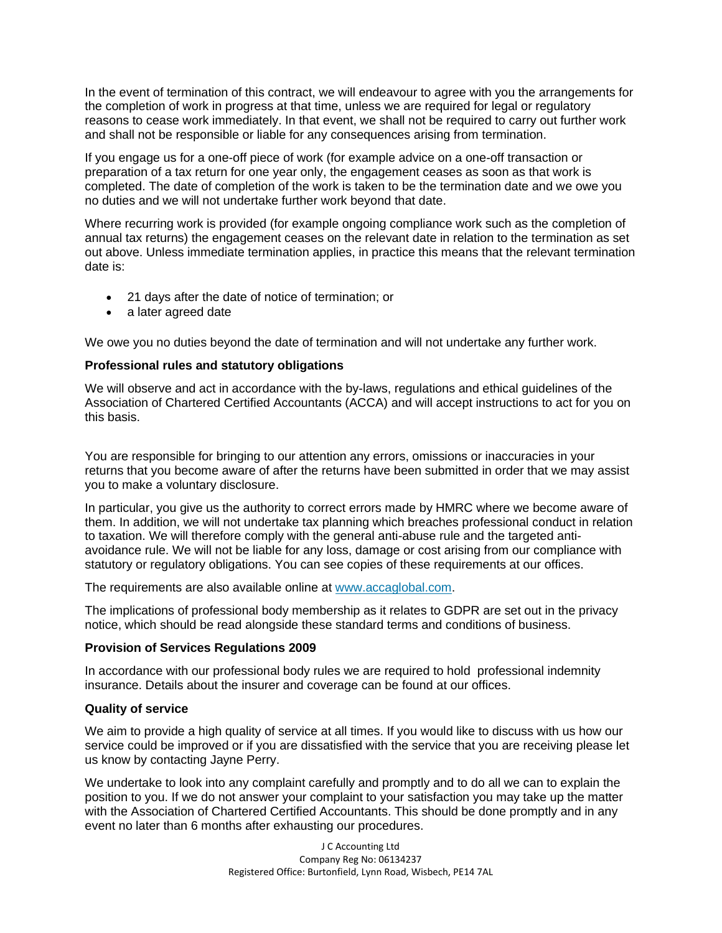In the event of termination of this contract, we will endeavour to agree with you the arrangements for the completion of work in progress at that time, unless we are required for legal or regulatory reasons to cease work immediately. In that event, we shall not be required to carry out further work and shall not be responsible or liable for any consequences arising from termination.

If you engage us for a one-off piece of work (for example advice on a one-off transaction or preparation of a tax return for one year only, the engagement ceases as soon as that work is completed. The date of completion of the work is taken to be the termination date and we owe you no duties and we will not undertake further work beyond that date.

Where recurring work is provided (for example ongoing compliance work such as the completion of annual tax returns) the engagement ceases on the relevant date in relation to the termination as set out above. Unless immediate termination applies, in practice this means that the relevant termination date is:

- 21 days after the date of notice of termination; or
- a later agreed date

We owe you no duties beyond the date of termination and will not undertake any further work.

## **Professional rules and statutory obligations**

We will observe and act in accordance with the by-laws, regulations and ethical guidelines of the Association of Chartered Certified Accountants (ACCA) and will accept instructions to act for you on this basis.

You are responsible for bringing to our attention any errors, omissions or inaccuracies in your returns that you become aware of after the returns have been submitted in order that we may assist you to make a voluntary disclosure.

In particular, you give us the authority to correct errors made by HMRC where we become aware of them. In addition, we will not undertake tax planning which breaches professional conduct in relation to taxation. We will therefore comply with the general anti-abuse rule and the targeted antiavoidance rule. We will not be liable for any loss, damage or cost arising from our compliance with statutory or regulatory obligations. You can see copies of these requirements at our offices.

The requirements are also available online at [www.accaglobal.com.](http://www.accaglobal.com/en.html)

The implications of professional body membership as it relates to GDPR are set out in the privacy notice, which should be read alongside these standard terms and conditions of business.

### **Provision of Services Regulations 2009**

In accordance with our professional body rules we are required to hold professional indemnity insurance. Details about the insurer and coverage can be found at our offices.

### **Quality of service**

We aim to provide a high quality of service at all times. If you would like to discuss with us how our service could be improved or if you are dissatisfied with the service that you are receiving please let us know by contacting Jayne Perry.

We undertake to look into any complaint carefully and promptly and to do all we can to explain the position to you. If we do not answer your complaint to your satisfaction you may take up the matter with the Association of Chartered Certified Accountants. This should be done promptly and in any event no later than 6 months after exhausting our procedures.